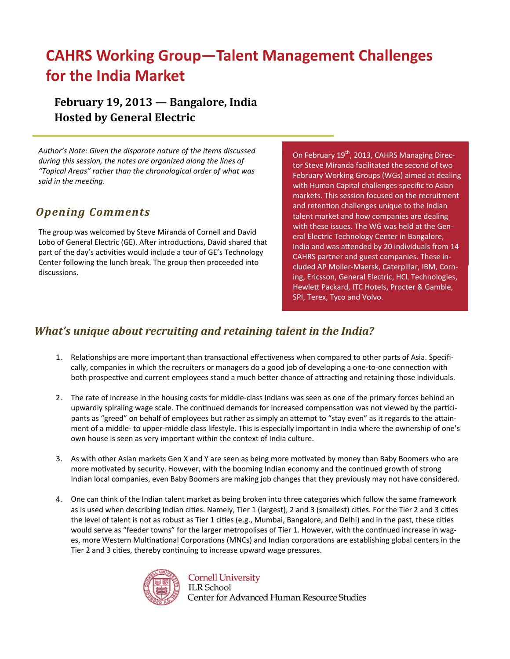# **CAHRS Working Group—Talent Management Challenges for the India Market**

### **February 19, 2013 — Bangalore, India Hosted by General Electric**

*Author's Note: Given the disparate nature of the items discussed during this session, the notes are organized along the lines of "Topical Areas" rather than the chronological order of what was said in the meeƟng.*

### *Opening Comments*

The group was welcomed by Steve Miranda of Cornell and David Lobo of General Electric (GE). After introductions, David shared that part of the day's activities would include a tour of GE's Technology Center following the lunch break. The group then proceeded into discussions.

On February 19<sup>th</sup>, 2013, CAHRS Managing Director Steve Miranda facilitated the second of two February Working Groups (WGs) aimed at dealing with Human Capital challenges specific to Asian markets. This session focused on the recruitment and retention challenges unique to the Indian talent market and how companies are dealing with these issues. The WG was held at the General Electric Technology Center in Bangalore, India and was attended by 20 individuals from 14 CAHRS partner and guest companies. These in‐ cluded AP Moller‐Maersk, Caterpillar, IBM, Corn‐ ing, Ericsson, General Electric, HCL Technologies, HewleƩ Packard, ITC Hotels, Procter & Gamble, SPI, Terex, Tyco and Volvo.

### *What's unique about recruiting and retaining talent in the India?*

- 1. Relationships are more important than transactional effectiveness when compared to other parts of Asia. Specifically, companies in which the recruiters or managers do a good job of developing a one-to-one connection with both prospective and current employees stand a much better chance of attracting and retaining those individuals.
- 2. The rate of increase in the housing costs for middle-class Indians was seen as one of the primary forces behind an upwardly spiraling wage scale. The continued demands for increased compensation was not viewed by the participants as "greed" on behalf of employees but rather as simply an attempt to "stay even" as it regards to the attainment of a middle- to upper-middle class lifestyle. This is especially important in India where the ownership of one's own house is seen as very important within the context of India culture.
- 3. As with other Asian markets Gen X and Y are seen as being more motivated by money than Baby Boomers who are more motivated by security. However, with the booming Indian economy and the continued growth of strong Indian local companies, even Baby Boomers are making job changes that they previously may not have considered.
- 4. One can think of the Indian talent market as being broken into three categories which follow the same framework as is used when describing Indian cities. Namely, Tier 1 (largest), 2 and 3 (smallest) cities. For the Tier 2 and 3 cities the level of talent is not as robust as Tier 1 cities (e.g., Mumbai, Bangalore, and Delhi) and in the past, these cities would serve as "feeder towns" for the larger metropolises of Tier 1. However, with the continued increase in wages, more Western Multinational Corporations (MNCs) and Indian corporations are establishing global centers in the Tier 2 and 3 cities, thereby continuing to increase upward wage pressures.



**Cornell University ILR** School Center for Advanced Human Resource Studies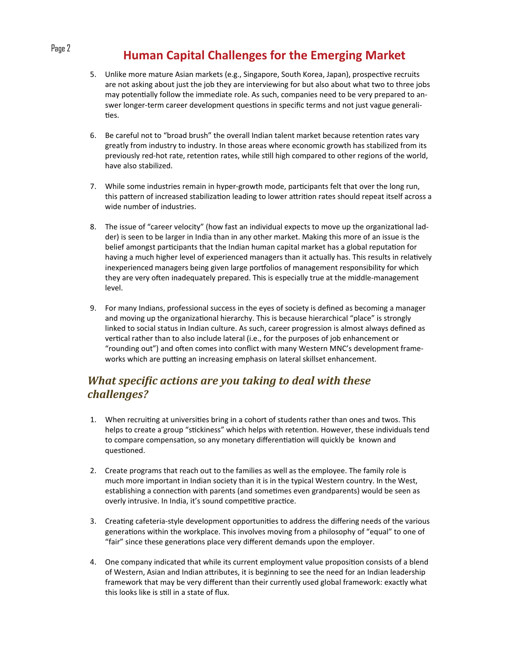# Page 2 **Human Capital Challenges for the Emerging Market**

- 5. Unlike more mature Asian markets (e.g., Singapore, South Korea, Japan), prospective recruits are not asking about just the job they are interviewing for but also about what two to three jobs may potentially follow the immediate role. As such, companies need to be very prepared to answer longer-term career development questions in specific terms and not just vague generalities.
- 6. Be careful not to "broad brush" the overall Indian talent market because retention rates vary greatly from industry to industry. In those areas where economic growth has stabilized from its previously red-hot rate, retention rates, while still high compared to other regions of the world, have also stabilized.
- 7. While some industries remain in hyper-growth mode, participants felt that over the long run, this pattern of increased stabilization leading to lower attrition rates should repeat itself across a wide number of industries.
- 8. The issue of "career velocity" (how fast an individual expects to move up the organizational ladder) is seen to be larger in India than in any other market. Making this more of an issue is the belief amongst participants that the Indian human capital market has a global reputation for having a much higher level of experienced managers than it actually has. This results in relatively inexperienced managers being given large portfolios of management responsibility for which they are very often inadequately prepared. This is especially true at the middle-management level.
- 9. For many Indians, professional success in the eyes of society is defined as becoming a manager and moving up the organizational hierarchy. This is because hierarchical "place" is strongly linked to social status in Indian culture. As such, career progression is almost always defined as vertical rather than to also include lateral (i.e., for the purposes of job enhancement or "rounding out") and often comes into conflict with many Western MNC's development frameworks which are putting an increasing emphasis on lateral skillset enhancement.

### *What speciϔic actions are you taking to deal with these challenges?*

- 1. When recruiting at universities bring in a cohort of students rather than ones and twos. This helps to create a group "stickiness" which helps with retention. However, these individuals tend to compare compensation, so any monetary differentiation will quickly be known and questioned.
- 2. Create programs that reach out to the families as well as the employee. The family role is much more important in Indian society than it is in the typical Western country. In the West, establishing a connection with parents (and sometimes even grandparents) would be seen as overly intrusive. In India, it's sound competitive practice.
- 3. Creating cafeteria-style development opportunities to address the differing needs of the various generations within the workplace. This involves moving from a philosophy of "equal" to one of "fair" since these generations place very different demands upon the employer.
- 4. One company indicated that while its current employment value proposition consists of a blend of Western, Asian and Indian attributes, it is beginning to see the need for an Indian leadership framework that may be very different than their currently used global framework: exactly what this looks like is sƟll in a state of flux.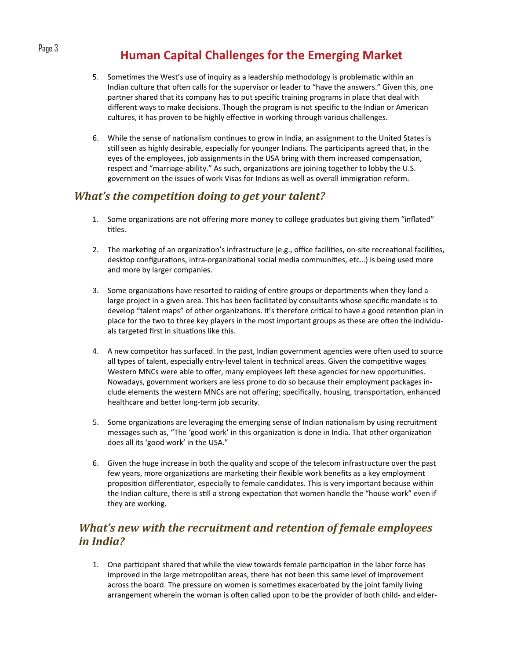# Page 3 **Human Capital Challenges for the Emerging Market**

- 5. Sometimes the West's use of inquiry as a leadership methodology is problematic within an Indian culture that often calls for the supervisor or leader to "have the answers." Given this, one partner shared that its company has to put specific training programs in place that deal with different ways to make decisions. Though the program is not specific to the Indian or American cultures, it has proven to be highly effective in working through various challenges.
- 6. While the sense of nationalism continues to grow in India, an assignment to the United States is still seen as highly desirable, especially for younger Indians. The participants agreed that, in the eyes of the employees, job assignments in the USA bring with them increased compensation, respect and "marriage-ability." As such, organizations are joining together to lobby the U.S. government on the issues of work Visas for Indians as well as overall immigration reform.

#### *What's the competition doing to get your talent?*

- 1. Some organizations are not offering more money to college graduates but giving them "inflated" titles.
- 2. The marketing of an organization's infrastructure (e.g., office facilities, on-site recreational facilities, desktop configurations, intra-organizational social media communities, etc...) is being used more and more by larger companies.
- 3. Some organizations have resorted to raiding of entire groups or departments when they land a large project in a given area. This has been facilitated by consultants whose specific mandate is to develop "talent maps" of other organizations. It's therefore critical to have a good retention plan in place for the two to three key players in the most important groups as these are often the individuals targeted first in situations like this.
- 4. A new competitor has surfaced. In the past, Indian government agencies were often used to source all types of talent, especially entry-level talent in technical areas. Given the competitive wages Western MNCs were able to offer, many employees left these agencies for new opportunities. Nowadays, government workers are less prone to do so because their employment packages in‐ clude elements the western MNCs are not offering; specifically, housing, transportation, enhanced healthcare and better long-term job security.
- 5. Some organizations are leveraging the emerging sense of Indian nationalism by using recruitment messages such as, "The 'good work' in this organization is done in India. That other organization does all its 'good work' in the USA."
- 6. Given the huge increase in both the quality and scope of the telecom infrastructure over the past few years, more organizations are marketing their flexible work benefits as a key employment proposition differentiator, especially to female candidates. This is very important because within the Indian culture, there is still a strong expectation that women handle the "house work" even if they are working.

### *What's new with the recruitment and retention of female employees in India?*

1. One participant shared that while the view towards female participation in the labor force has improved in the large metropolitan areas, there has not been this same level of improvement across the board. The pressure on women is sometimes exacerbated by the joint family living arrangement wherein the woman is often called upon to be the provider of both child- and elder-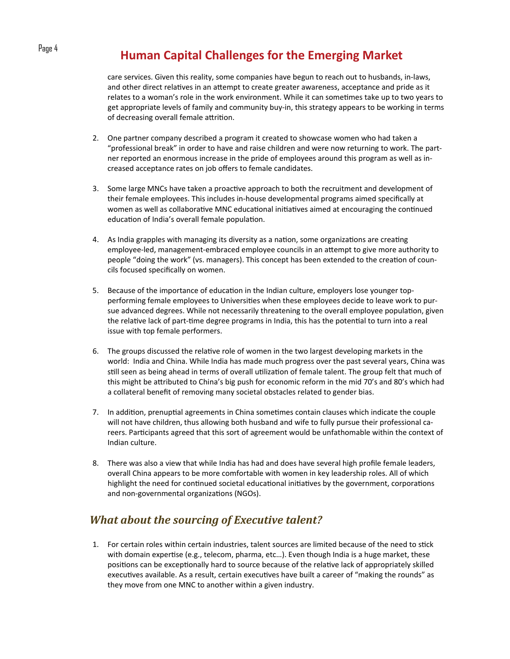# Page 4 **Human Capital Challenges for the Emerging Market**

care services. Given this reality, some companies have begun to reach out to husbands, in‐laws, and other direct relatives in an attempt to create greater awareness, acceptance and pride as it relates to a woman's role in the work environment. While it can sometimes take up to two years to get appropriate levels of family and community buy-in, this strategy appears to be working in terms of decreasing overall female attrition.

- 2. One partner company described a program it created to showcase women who had taken a "professional break" in order to have and raise children and were now returning to work. The part‐ ner reported an enormous increase in the pride of employees around this program as well as in‐ creased acceptance rates on job offers to female candidates.
- 3. Some large MNCs have taken a proactive approach to both the recruitment and development of their female employees. This includes in‐house developmental programs aimed specifically at women as well as collaborative MNC educational initiatives aimed at encouraging the continued education of India's overall female population.
- 4. As India grapples with managing its diversity as a nation, some organizations are creating employee-led, management-embraced employee councils in an attempt to give more authority to people "doing the work" (vs. managers). This concept has been extended to the creation of councils focused specifically on women.
- 5. Because of the importance of education in the Indian culture, employers lose younger topperforming female employees to Universities when these employees decide to leave work to pursue advanced degrees. While not necessarily threatening to the overall employee population, given the relative lack of part-time degree programs in India, this has the potential to turn into a real issue with top female performers.
- 6. The groups discussed the relative role of women in the two largest developing markets in the world: India and China. While India has made much progress over the past several years, China was still seen as being ahead in terms of overall utilization of female talent. The group felt that much of this might be aƩributed to China's big push for economic reform in the mid 70's and 80's which had a collateral benefit of removing many societal obstacles related to gender bias.
- 7. In addition, prenuptial agreements in China sometimes contain clauses which indicate the couple will not have children, thus allowing both husband and wife to fully pursue their professional careers. Participants agreed that this sort of agreement would be unfathomable within the context of Indian culture.
- 8. There was also a view that while India has had and does have several high profile female leaders, overall China appears to be more comfortable with women in key leadership roles. All of which highlight the need for continued societal educational initiatives by the government, corporations and non-governmental organizations (NGOs).

### *What about the sourcing of Executive talent?*

1. For certain roles within certain industries, talent sources are limited because of the need to stick with domain expertise (e.g., telecom, pharma, etc...). Even though India is a huge market, these positions can be exceptionally hard to source because of the relative lack of appropriately skilled executives available. As a result, certain executives have built a career of "making the rounds" as they move from one MNC to another within a given industry.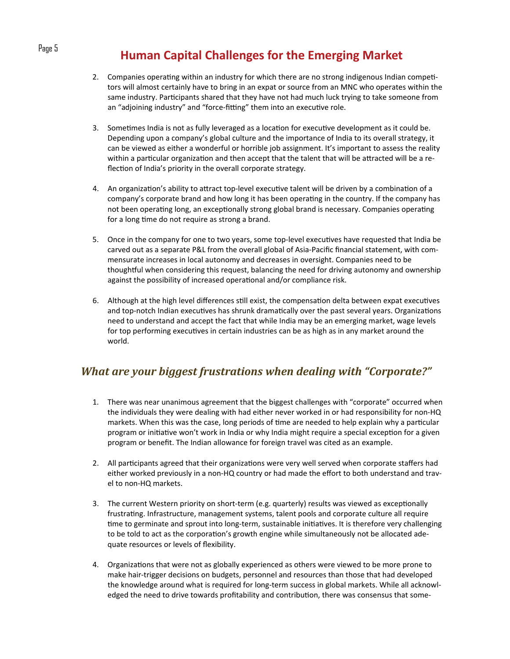# Page 5 **Human Capital Challenges for the Emerging Market**

- 2. Companies operating within an industry for which there are no strong indigenous Indian competitors will almost certainly have to bring in an expat or source from an MNC who operates within the same industry. Participants shared that they have not had much luck trying to take someone from an "adjoining industry" and "force-fitting" them into an executive role.
- 3. Sometimes India is not as fully leveraged as a location for executive development as it could be. Depending upon a company's global culture and the importance of India to its overall strategy, it can be viewed as either a wonderful or horrible job assignment. It's important to assess the reality within a particular organization and then accept that the talent that will be attracted will be a reflection of India's priority in the overall corporate strategy.
- 4. An organization's ability to attract top-level executive talent will be driven by a combination of a company's corporate brand and how long it has been operating in the country. If the company has not been operating long, an exceptionally strong global brand is necessary. Companies operating for a long time do not require as strong a brand.
- 5. Once in the company for one to two years, some top-level executives have requested that India be carved out as a separate P&L from the overall global of Asia‐Pacific financial statement, with com‐ mensurate increases in local autonomy and decreases in oversight. Companies need to be thoughtful when considering this request, balancing the need for driving autonomy and ownership against the possibility of increased operational and/or compliance risk.
- 6. Although at the high level differences still exist, the compensation delta between expat executives and top-notch Indian executives has shrunk dramatically over the past several years. Organizations need to understand and accept the fact that while India may be an emerging market, wage levels for top performing executives in certain industries can be as high as in any market around the world.

### *What are your biggest frustrations when dealing with "Corporate?"*

- 1. There was near unanimous agreement that the biggest challenges with "corporate" occurred when the individuals they were dealing with had either never worked in or had responsibility for non‐HQ markets. When this was the case, long periods of time are needed to help explain why a particular program or initiative won't work in India or why India might require a special exception for a given program or benefit. The Indian allowance for foreign travel was cited as an example.
- 2. All participants agreed that their organizations were very well served when corporate staffers had either worked previously in a non-HQ country or had made the effort to both understand and travel to non‐HQ markets.
- 3. The current Western priority on short-term (e.g. quarterly) results was viewed as exceptionally frustrating. Infrastructure, management systems, talent pools and corporate culture all require time to germinate and sprout into long-term, sustainable initiatives. It is therefore very challenging to be told to act as the corporation's growth engine while simultaneously not be allocated adequate resources or levels of flexibility.
- 4. Organizations that were not as globally experienced as others were viewed to be more prone to make hair-trigger decisions on budgets, personnel and resources than those that had developed the knowledge around what is required for long-term success in global markets. While all acknowledged the need to drive towards profitability and contribution, there was consensus that some-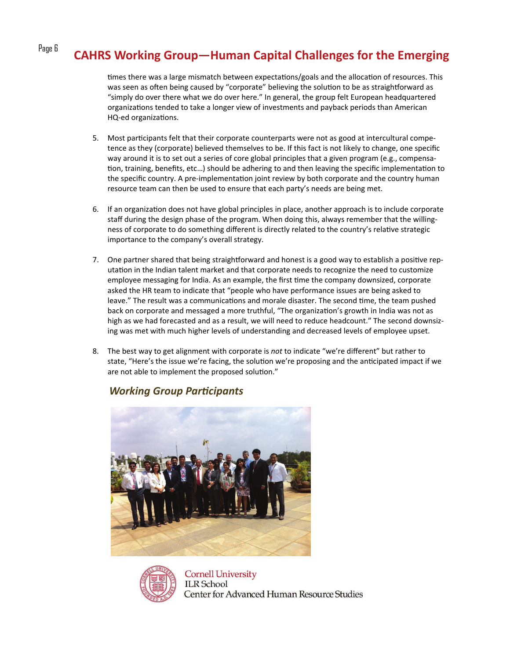# Page 6 **CAHRS Working Group—Human Capital Challenges for the Emerging**

times there was a large mismatch between expectations/goals and the allocation of resources. This was seen as often being caused by "corporate" believing the solution to be as straightforward as "simply do over there what we do over here." In general, the group felt European headquartered organizations tended to take a longer view of investments and payback periods than American HQ-ed organizations.

- 5. Most participants felt that their corporate counterparts were not as good at intercultural competence as they (corporate) believed themselves to be. If this fact is not likely to change, one specific way around it is to set out a series of core global principles that a given program (e.g., compensation, training, benefits, etc...) should be adhering to and then leaving the specific implementation to the specific country. A pre-implementation joint review by both corporate and the country human resource team can then be used to ensure that each party's needs are being met.
- 6. If an organization does not have global principles in place, another approach is to include corporate staff during the design phase of the program. When doing this, always remember that the willing‐ ness of corporate to do something different is directly related to the country's relative strategic importance to the company's overall strategy.
- 7. One partner shared that being straightforward and honest is a good way to establish a positive reputation in the Indian talent market and that corporate needs to recognize the need to customize employee messaging for India. As an example, the first time the company downsized, corporate asked the HR team to indicate that "people who have performance issues are being asked to leave." The result was a communications and morale disaster. The second time, the team pushed back on corporate and messaged a more truthful, "The organization's growth in India was not as high as we had forecasted and as a result, we will need to reduce headcount." The second downsizing was met with much higher levels of understanding and decreased levels of employee upset.
- 8. The best way to get alignment with corporate is *not* to indicate "we're different" but rather to state, "Here's the issue we're facing, the solution we're proposing and the anticipated impact if we are not able to implement the proposed solution."

#### *Working Group Participants*





**Cornell University ILR** School Center for Advanced Human Resource Studies